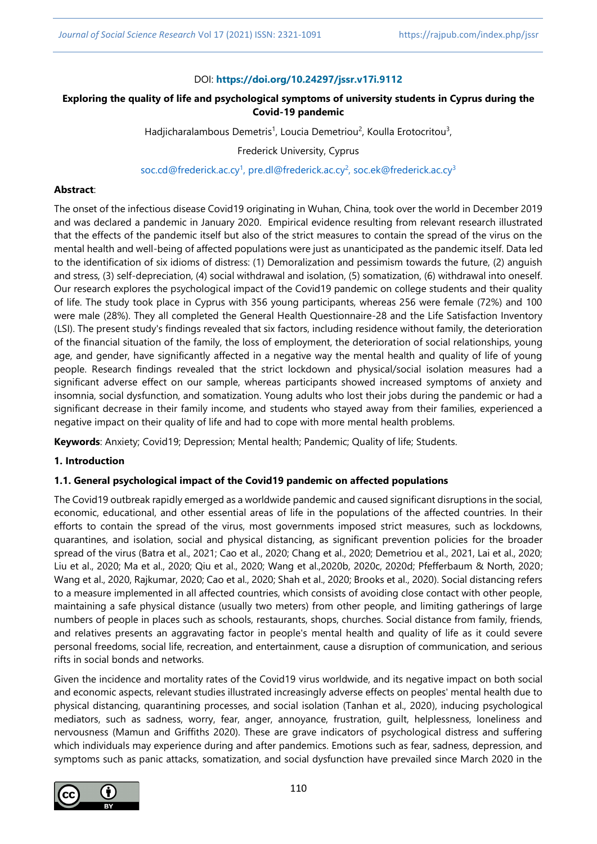#### DOI: **<https://doi.org/10.24297/jssr.v17i.9112>**

# **Exploring the quality of life and psychological symptoms of university students in Cyprus during the Covid-19 pandemic**

Hadjicharalambous Demetris<sup>1</sup>, Loucia Demetriou<sup>2</sup>, Koulla Erotocritou<sup>3</sup>,

Frederick University, Cyprus

[soc.cd@frederick.ac.cy](mailto:soc.cd@frederick.ac.cy1)<sup>1</sup>, [pre.dl@frederick.ac.cy](mailto:pre.dl@frederick.ac.cy2)<sup>2</sup>, [soc.ek@frederick.ac.cy](mailto:soc.ek@frederick.ac.cy)<sup>3</sup>

#### **Abstract**:

The onset of the infectious disease Covid19 originating in Wuhan, China, took over the world in December 2019 and was declared a pandemic in January 2020. Empirical evidence resulting from relevant research illustrated that the effects of the pandemic itself but also of the strict measures to contain the spread of the virus on the mental health and well-being of affected populations were just as unanticipated as the pandemic itself. Data led to the identification of six idioms of distress: (1) Demoralization and pessimism towards the future, (2) anguish and stress, (3) self-depreciation, (4) social withdrawal and isolation, (5) somatization, (6) withdrawal into oneself. Our research explores the psychological impact of the Covid19 pandemic on college students and their quality of life. The study took place in Cyprus with 356 young participants, whereas 256 were female (72%) and 100 were male (28%). They all completed the General Health Questionnaire-28 and the Life Satisfaction Inventory (LSI). The present study's findings revealed that six factors, including residence without family, the deterioration of the financial situation of the family, the loss of employment, the deterioration of social relationships, young age, and gender, have significantly affected in a negative way the mental health and quality of life of young people. Research findings revealed that the strict lockdown and physical/social isolation measures had a significant adverse effect on our sample, whereas participants showed increased symptoms of anxiety and insomnia, social dysfunction, and somatization. Young adults who lost their jobs during the pandemic or had a significant decrease in their family income, and students who stayed away from their families, experienced a negative impact on their quality of life and had to cope with more mental health problems.

**Keywords**: Anxiety; Covid19; Depression; Mental health; Pandemic; Quality of life; Students.

# **1. Introduction**

#### **1.1. General psychological impact of the Covid19 pandemic on affected populations**

The Covid19 outbreak rapidly emerged as a worldwide pandemic and caused significant disruptions in the social, economic, educational, and other essential areas of life in the populations of the affected countries. In their efforts to contain the spread of the virus, most governments imposed strict measures, such as lockdowns, quarantines, and isolation, social and physical distancing, as significant prevention policies for the broader spread of the virus (Batra et al., 2021; Cao et al., 2020; Chang et al., 2020; Demetriou et al., 2021, Lai et al., 2020; Liu et al., 2020; Ma et al., 2020; Qiu et al., 2020; Wang et al.,2020b, 2020c, 2020d; Pfefferbaum & North, 2020; Wang et al., 2020, Rajkumar, 2020; Cao et al., 2020; Shah et al., 2020; Brooks et al., 2020). Social distancing refers to a measure implemented in all affected countries, which consists of avoiding close contact with other people, maintaining a safe physical distance (usually two meters) from other people, and limiting gatherings of large numbers of people in places such as schools, restaurants, shops, churches. Social distance from family, friends, and relatives presents an aggravating factor in people's mental health and quality of life as it could severe personal freedoms, social life, recreation, and entertainment, cause a disruption of communication, and serious rifts in social bonds and networks.

Given the incidence and mortality rates of the Covid19 virus worldwide, and its negative impact on both social and economic aspects, relevant studies illustrated increasingly adverse effects on peoples' mental health due to physical distancing, quarantining processes, and social isolation (Tanhan et al., 2020), inducing psychological mediators, such as sadness, worry, fear, anger, annoyance, frustration, guilt, helplessness, loneliness and nervousness (Mamun and Griffiths 2020). These are grave indicators of psychological distress and suffering which individuals may experience during and after pandemics. Emotions such as fear, sadness, depression, and symptoms such as panic attacks, somatization, and social dysfunction have prevailed since March 2020 in the

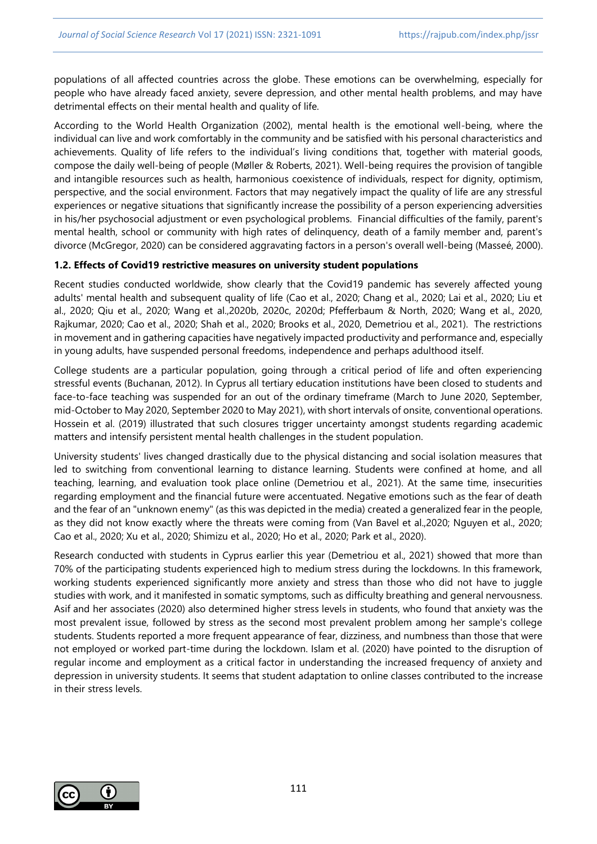populations of all affected countries across the globe. These emotions can be overwhelming, especially for people who have already faced anxiety, severe depression, and other mental health problems, and may have detrimental effects on their mental health and quality of life.

According to the World Health Organization (2002), mental health is the emotional well-being, where the individual can live and work comfortably in the community and be satisfied with his personal characteristics and achievements. Quality of life refers to the individual's living conditions that, together with material goods, compose the daily well-being of people (Møller & Roberts, 2021). Well-being requires the provision of tangible and intangible resources such as health, harmonious coexistence of individuals, respect for dignity, optimism, perspective, and the social environment. Factors that may negatively impact the quality of life are any stressful experiences or negative situations that significantly increase the possibility of a person experiencing adversities in his/her psychosocial adjustment or even psychological problems. Financial difficulties of the family, parent's mental health, school or community with high rates of delinquency, death of a family member and, parent's divorce (McGregor, 2020) can be considered aggravating factors in a person's overall well-being (Masseé, 2000).

#### **1.2. Effects of Covid19 restrictive measures on university student populations**

Recent studies conducted worldwide, show clearly that the Covid19 pandemic has severely affected young adults' mental health and subsequent quality of life (Cao et al., 2020; Chang et al., 2020; Lai et al., 2020; Liu et al., 2020; Qiu et al., 2020; Wang et al.,2020b, 2020c, 2020d; Pfefferbaum & North, 2020; Wang et al., 2020, Rajkumar, 2020; Cao et al., 2020; Shah et al., 2020; Brooks et al., 2020, Demetriou et al., 2021). The restrictions in movement and in gathering capacities have negatively impacted productivity and performance and, especially in young adults, have suspended personal freedoms, independence and perhaps adulthood itself.

College students are a particular population, going through a critical period of life and often experiencing stressful events (Buchanan, 2012). In Cyprus all tertiary education institutions have been closed to students and face-to-face teaching was suspended for an out of the ordinary timeframe (March to June 2020, September, mid-October to May 2020, September 2020 to May 2021), with short intervals of onsite, conventional operations. Hossein et al. (2019) illustrated that such closures trigger uncertainty amongst students regarding academic matters and intensify persistent mental health challenges in the student population.

University students' lives changed drastically due to the physical distancing and social isolation measures that led to switching from conventional learning to distance learning. Students were confined at home, and all teaching, learning, and evaluation took place online (Demetriou et al., 2021). At the same time, insecurities regarding employment and the financial future were accentuated. Negative emotions such as the fear of death and the fear of an "unknown enemy" (as this was depicted in the media) created a generalized fear in the people, as they did not know exactly where the threats were coming from (Van Bavel et al.,2020; Nguyen et al., 2020; Cao et al., 2020; Xu et al., 2020; Shimizu et al., 2020; Ho et al., 2020; Park et al., 2020).

Research conducted with students in Cyprus earlier this year (Demetriou et al., 2021) showed that more than 70% of the participating students experienced high to medium stress during the lockdowns. In this framework, working students experienced significantly more anxiety and stress than those who did not have to juggle studies with work, and it manifested in somatic symptoms, such as difficulty breathing and general nervousness. Asif and her associates (2020) also determined higher stress levels in students, who found that anxiety was the most prevalent issue, followed by stress as the second most prevalent problem among her sample's college students. Students reported a more frequent appearance of fear, dizziness, and numbness than those that were not employed or worked part-time during the lockdown. Islam et al. (2020) have pointed to the disruption of regular income and employment as a critical factor in understanding the increased frequency of anxiety and depression in university students. It seems that student adaptation to online classes contributed to the increase in their stress levels.

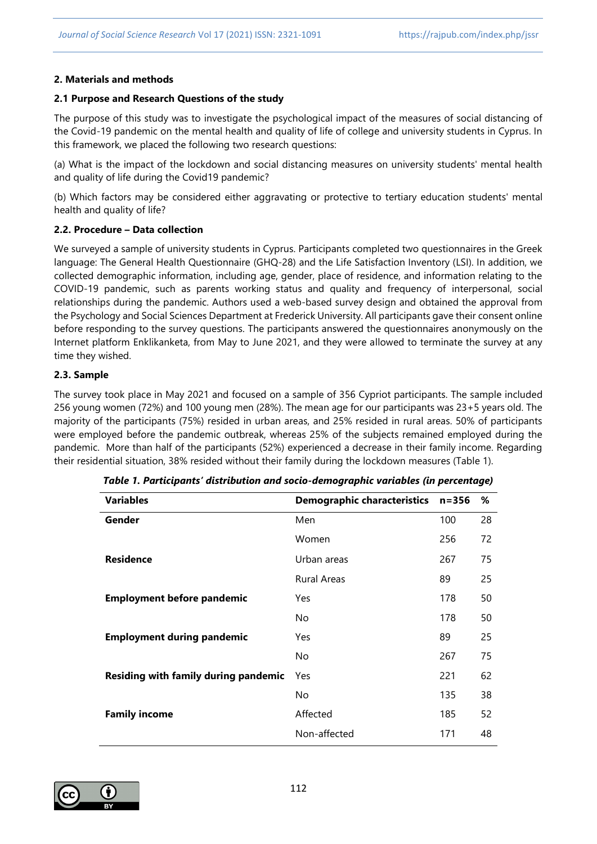#### **2. Materials and methods**

# **2.1 Purpose and Research Questions of the study**

The purpose of this study was to investigate the psychological impact of the measures of social distancing of the Covid-19 pandemic on the mental health and quality of life of college and university students in Cyprus. In this framework, we placed the following two research questions:

(a) What is the impact of the lockdown and social distancing measures on university students' mental health and quality of life during the Covid19 pandemic?

(b) Which factors may be considered either aggravating or protective to tertiary education students' mental health and quality of life?

## **2.2. Procedure – Data collection**

We surveyed a sample of university students in Cyprus. Participants completed two questionnaires in the Greek language: The General Health Questionnaire (GHQ-28) and the Life Satisfaction Inventory (LSI). In addition, we collected demographic information, including age, gender, place of residence, and information relating to the COVID-19 pandemic, such as parents working status and quality and frequency of interpersonal, social relationships during the pandemic. Authors used a web-based survey design and obtained the approval from the Psychology and Social Sciences Department at Frederick University. All participants gave their consent online before responding to the survey questions. The participants answered the questionnaires anonymously on the Internet platform Enklikanketa, from May to June 2021, and they were allowed to terminate the survey at any time they wished.

# **2.3. Sample**

The survey took place in May 2021 and focused on a sample of 356 Cypriot participants. The sample included 256 young women (72%) and 100 young men (28%). The mean age for our participants was 23+5 years old. The majority of the participants (75%) resided in urban areas, and 25% resided in rural areas. 50% of participants were employed before the pandemic outbreak, whereas 25% of the subjects remained employed during the pandemic. More than half of the participants (52%) experienced a decrease in their family income. Regarding their residential situation, 38% resided without their family during the lockdown measures (Table 1).

| <b>Variables</b>                     | <b>Demographic characteristics</b> | $n = 356$ | %  |
|--------------------------------------|------------------------------------|-----------|----|
| Gender                               | Men                                | 100       | 28 |
|                                      | Women                              | 256       | 72 |
| <b>Residence</b>                     | Urban areas                        | 267       | 75 |
|                                      | <b>Rural Areas</b>                 | 89        | 25 |
| <b>Employment before pandemic</b>    | Yes                                | 178       | 50 |
|                                      | No                                 | 178       | 50 |
| <b>Employment during pandemic</b>    | Yes                                | 89        | 25 |
|                                      | No                                 | 267       | 75 |
| Residing with family during pandemic | Yes                                | 221       | 62 |
|                                      | No                                 | 135       | 38 |
| <b>Family income</b>                 | Affected                           | 185       | 52 |
|                                      | Non-affected                       | 171       | 48 |

| Table 1. Participants' distribution and socio-demographic variables (in percentage) |  |  |  |  |
|-------------------------------------------------------------------------------------|--|--|--|--|
|-------------------------------------------------------------------------------------|--|--|--|--|

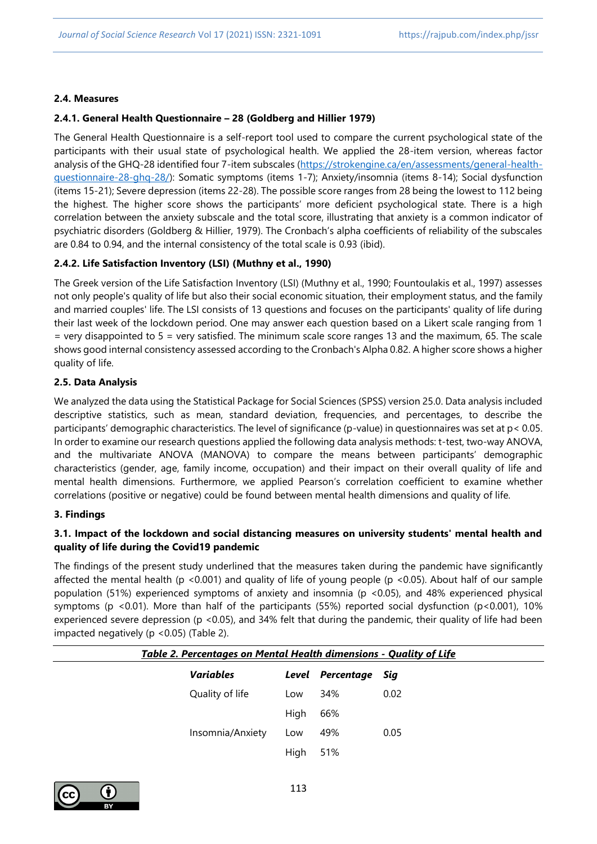#### **2.4. Measures**

#### **2.4.1. General Health Questionnaire – 28 (Goldberg and Hillier 1979)**

The General Health Questionnaire is a self-report tool used to compare the current psychological state of the participants with their usual state of psychological health. We applied the 28-item version, whereas factor analysis of the GHQ-28 identified four 7-item subscales [\(https://strokengine.ca/en/assessments/general-health](https://strokengine.ca/en/assessments/general-health-questionnaire-28-ghq-28/)[questionnaire-28-ghq-28/\)](https://strokengine.ca/en/assessments/general-health-questionnaire-28-ghq-28/): Somatic symptoms (items 1-7); Anxiety/insomnia (items 8-14); Social dysfunction (items 15-21); Severe depression (items 22-28). The possible score ranges from 28 being the lowest to 112 being the highest. The higher score shows the participants' more deficient psychological state. There is a high correlation between the anxiety subscale and the total score, illustrating that anxiety is a common indicator of psychiatric disorders (Goldberg & Hillier, 1979). The Cronbach's alpha coefficients of reliability of the subscales are 0.84 to 0.94, and the internal consistency of the total scale is 0.93 (ibid).

#### **2.4.2. Life Satisfaction Inventory (LSI) (Muthny et al., 1990)**

The Greek version of the Life Satisfaction Inventory (LSI) (Muthny et al., 1990; Fountoulakis et al., 1997) assesses not only people's quality of life but also their social economic situation, their employment status, and the family and married couples' life. The LSI consists of 13 questions and focuses on the participants' quality of life during their last week of the lockdown period. One may answer each question based on a Likert scale ranging from 1 = very disappointed to 5 = very satisfied. The minimum scale score ranges 13 and the maximum, 65. The scale shows good internal consistency assessed according to the Cronbach's Alpha 0.82. A higher score shows a higher quality of life.

#### **2.5. Data Analysis**

We analyzed the data using the Statistical Package for Social Sciences (SPSS) version 25.0. Data analysis included descriptive statistics, such as mean, standard deviation, frequencies, and percentages, to describe the participants' demographic characteristics. The level of significance (p-value) in questionnaires was set at p< 0.05. In order to examine our research questions applied the following data analysis methods: t-test, two-way ANOVA, and the multivariate ANOVA (MANOVA) to compare the means between participants' demographic characteristics (gender, age, family income, occupation) and their impact on their overall quality of life and mental health dimensions. Furthermore, we applied Pearson's correlation coefficient to examine whether correlations (positive or negative) could be found between mental health dimensions and quality of life.

#### **3. Findings**

## **3.1. Impact of the lockdown and social distancing measures on university students' mental health and quality of life during the Covid19 pandemic**

The findings of the present study underlined that the measures taken during the pandemic have significantly affected the mental health (p <0.001) and quality of life of young people (p <0.05). About half of our sample population (51%) experienced symptoms of anxiety and insomnia (p <0.05), and 48% experienced physical symptoms (p <0.01). More than half of the participants (55%) reported social dysfunction (p <0.001), 10% experienced severe depression (p <0.05), and 34% felt that during the pandemic, their quality of life had been impacted negatively (p <0.05) (Table 2).

| Table 2. Percentages on Mental Health dimensions - Quality of Life |                  |      |                      |      |
|--------------------------------------------------------------------|------------------|------|----------------------|------|
|                                                                    | <b>Variables</b> |      | Level Percentage Sig |      |
|                                                                    | Quality of life  | Low  | 34%                  | 0.02 |
|                                                                    |                  | High | 66%                  |      |
|                                                                    | Insomnia/Anxiety | Low  | 49%                  | 0.05 |
|                                                                    |                  | High | 51%                  |      |
|                                                                    |                  |      |                      |      |

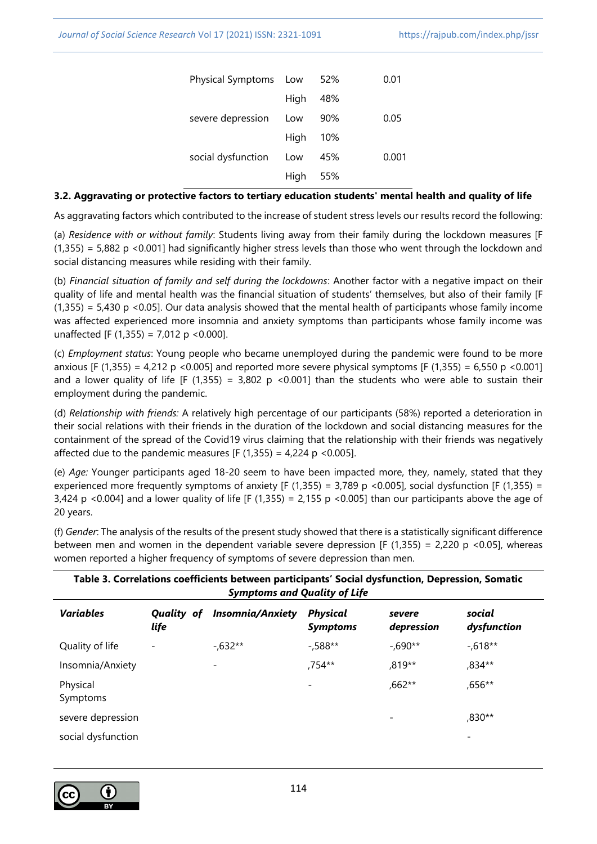| Physical Symptoms Low |      | 52%   | 0.01  |
|-----------------------|------|-------|-------|
|                       | High | 48%   |       |
| severe depression     | Low  | 90%   | 0.05  |
|                       | High | - 10% |       |
| social dysfunction    | Low  | 45%   | 0.001 |
|                       | High | - 55% |       |
|                       |      |       |       |

#### **3.2. Aggravating or protective factors to tertiary education students' mental health and quality of life**

Αs aggravating factors which contributed to the increase of student stress levels our results record the following:

(a) *Residence with or without family*: Students living away from their family during the lockdown measures [F (1,355) = 5,882 p <0.001] had significantly higher stress levels than those who went through the lockdown and social distancing measures while residing with their family.

(b) *Financial situation of family and self during the lockdowns*: Another factor with a negative impact on their quality of life and mental health was the financial situation of students' themselves, but also of their family [F  $(1,355) = 5,430$  p <0.05]. Our data analysis showed that the mental health of participants whose family income was affected experienced more insomnia and anxiety symptoms than participants whose family income was unaffected [F (1,355) = 7,012 p < 0.000].

(c) *Employment status*: Young people who became unemployed during the pandemic were found to be more anxious [F (1,355) = 4,212 p <0.005] and reported more severe physical symptoms [F (1,355) = 6,550 p <0.001] and a lower quality of life [F (1,355) = 3,802 p <0.001] than the students who were able to sustain their employment during the pandemic.

(d) *Relationship with friends:* A relatively high percentage of our participants (58%) reported a deterioration in their social relations with their friends in the duration of the lockdown and social distancing measures for the containment of the spread of the Covid19 virus claiming that the relationship with their friends was negatively affected due to the pandemic measures [F  $(1,355) = 4,224$  p <0.005].

(e) *Age:* Younger participants aged 18-20 seem to have been impacted more, they, namely, stated that they experienced more frequently symptoms of anxiety [F (1,355) = 3,789 p <0.005], social dysfunction [F (1,355) = 3,424 p <0.004] and a lower quality of life [F (1,355) = 2,155 p <0.005] than our participants above the age of 20 years.

| Table 3. Correlations coefficients between participants' Social dysfunction, Depression, Somatic<br><b>Symptoms and Quality of Life</b> |                    |                         |                                    |                      |                          |
|-----------------------------------------------------------------------------------------------------------------------------------------|--------------------|-------------------------|------------------------------------|----------------------|--------------------------|
| <b>Variables</b>                                                                                                                        | Quality of<br>life | <b>Insomnia/Anxiety</b> | <b>Physical</b><br><b>Symptoms</b> | severe<br>depression | social<br>dysfunction    |
| Quality of life                                                                                                                         |                    | $-.632**$               | $-0.588**$                         | $-.690**$            | $-0.618**$               |
| Insomnia/Anxiety                                                                                                                        |                    | $\overline{a}$          | ,754**                             | ,819**               | ,834**                   |
| Physical<br>Symptoms                                                                                                                    |                    |                         |                                    | ,662**               | ,656**                   |
| severe depression                                                                                                                       |                    |                         |                                    | $\qquad \qquad$      | ,830**                   |
| social dysfunction                                                                                                                      |                    |                         |                                    |                      | $\overline{\phantom{a}}$ |

(f) *Gender*: The analysis of the results of the present study showed that there is a statistically significant difference between men and women in the dependent variable severe depression [F (1,355) = 2,220 p <0.05], whereas women reported a higher frequency of symptoms of severe depression than men.

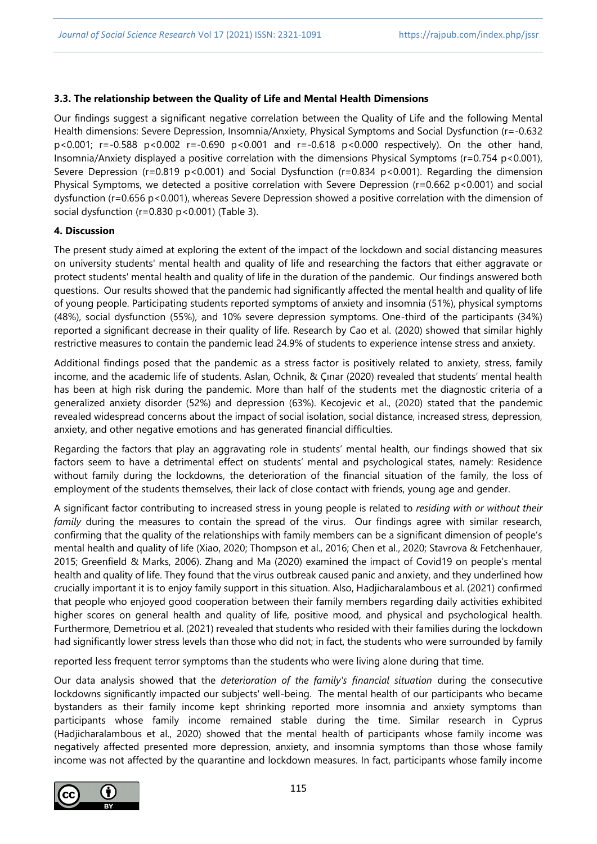#### **3.3. The relationship between the Quality of Life and Mental Health Dimensions**

Our findings suggest a significant negative correlation between the Quality of Life and the following Mental Health dimensions: Severe Depression, Insomnia/Anxiety, Physical Symptoms and Social Dysfunction (r=-0.632 p<0.001; r=-0.588 p<0.002 r=-0.690 p<0.001 and r=-0.618 p<0.000 respectively). On the other hand, Insomnia/Anxiety displayed a positive correlation with the dimensions Physical Symptoms (r=0.754 p<0.001), Severe Depression (r=0.819 p<0.001) and Social Dysfunction (r=0.834 p<0.001). Regarding the dimension Physical Symptoms, we detected a positive correlation with Severe Depression (r=0.662 p<0.001) and social dysfunction (r=0.656 p<0.001), whereas Severe Depression showed a positive correlation with the dimension of social dysfunction (r=0.830 p<0.001) (Table 3).

## **4. Discussion**

The present study aimed at exploring the extent of the impact of the lockdown and social distancing measures on university students' mental health and quality of life and researching the factors that either aggravate or protect students' mental health and quality of life in the duration of the pandemic. Our findings answered both questions. Our results showed that the pandemic had significantly affected the mental health and quality of life of young people. Participating students reported symptoms of anxiety and insomnia (51%), physical symptoms (48%), social dysfunction (55%), and 10% severe depression symptoms. One-third of the participants (34%) reported a significant decrease in their quality of life. Research by Cao et al. (2020) showed that similar highly restrictive measures to contain the pandemic lead 24.9% of students to experience intense stress and anxiety.

Additional findings posed that the pandemic as a stress factor is positively related to anxiety, stress, family income, and the academic life of students. Aslan, Ochnik, & Çınar (2020) revealed that students' mental health has been at high risk during the pandemic. More than half of the students met the diagnostic criteria of a generalized anxiety disorder (52%) and depression (63%). Kecojevic et al., (2020) stated that the pandemic revealed widespread concerns about the impact of social isolation, social distance, increased stress, depression, anxiety, and other negative emotions and has generated financial difficulties.

Regarding the factors that play an aggravating role in students' mental health, our findings showed that six factors seem to have a detrimental effect on students' mental and psychological states, namely: Residence without family during the lockdowns, the deterioration of the financial situation of the family, the loss of employment of the students themselves, their lack of close contact with friends, young age and gender.

A significant factor contributing to increased stress in young people is related to *residing with or without their family* during the measures to contain the spread of the virus. Our findings agree with similar research, confirming that the quality of the relationships with family members can be a significant dimension of people's mental health and quality of life (Xiao, 2020; Thompson et al., 2016; Chen et al., 2020; Stavrova & Fetchenhauer, 2015; Greenfield & Marks, 2006). Zhang and Ma (2020) examined the impact of Covid19 on people's mental health and quality of life. They found that the virus outbreak caused panic and anxiety, and they underlined how crucially important it is to enjoy family support in this situation. Also, Hadjicharalambous et al. (2021) confirmed that people who enjoyed good cooperation between their family members regarding daily activities exhibited higher scores on general health and quality of life, positive mood, and physical and psychological health. Furthermore, Demetriou et al. (2021) revealed that students who resided with their families during the lockdown had significantly lower stress levels than those who did not; in fact, the students who were surrounded by family

reported less frequent terror symptoms than the students who were living alone during that time.

Our data analysis showed that the *deterioration of the family's financial situation* during the consecutive lockdowns significantly impacted our subjects' well-being. The mental health of our participants who became bystanders as their family income kept shrinking reported more insomnia and anxiety symptoms than participants whose family income remained stable during the time. Similar research in Cyprus (Hadjicharalambous et al., 2020) showed that the mental health of participants whose family income was negatively affected presented more depression, anxiety, and insomnia symptoms than those whose family income was not affected by the quarantine and lockdown measures. In fact, participants whose family income

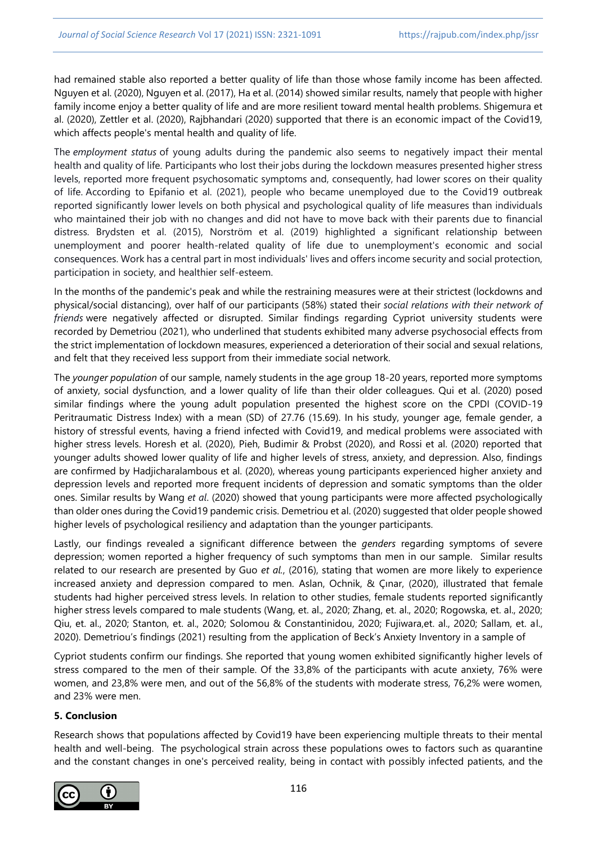had remained stable also reported a better quality of life than those whose family income has been affected. Nguyen et al. (2020), Nguyen et al. (2017), Ha et al. (2014) showed similar results, namely that people with higher family income enjoy a better quality of life and are more resilient toward mental health problems. Shigemura et al. (2020), Zettler et al. (2020), Rajbhandari (2020) supported that there is an economic impact of the Covid19, which affects people's mental health and quality of life.

The *employment status* of young adults during the pandemic also seems to negatively impact their mental health and quality of life. Participants who lost their jobs during the lockdown measures presented higher stress levels, reported more frequent psychosomatic symptoms and, consequently, had lower scores on their quality of life. According to Epifanio et al. (2021), people who became unemployed due to the Covid19 outbreak reported significantly lower levels on both physical and psychological quality of life measures than individuals who maintained their job with no changes and did not have to move back with their parents due to financial distress. Brydsten et al. (2015), Norström et al. (2019) highlighted a significant relationship between unemployment and poorer health-related quality of life due to unemployment's economic and social consequences. Work has a central part in most individuals' lives and offers income security and social protection, participation in society, and healthier self-esteem.

In the months of the pandemic's peak and while the restraining measures were at their strictest (lockdowns and physical/social distancing), over half of our participants (58%) stated their *social relations with their network of friends* were negatively affected or disrupted. Similar findings regarding Cypriot university students were recorded by Demetriou (2021), who underlined that students exhibited many adverse psychosocial effects from the strict implementation of lockdown measures, experienced a deterioration of their social and sexual relations, and felt that they received less support from their immediate social network.

The *younger population* of our sample, namely students in the age group 18-20 years, reported more symptoms of anxiety, social dysfunction, and a lower quality of life than their older colleagues. Qui et al. (2020) posed similar findings where the young adult population presented the highest score on the CPDI (COVID-19 Peritraumatic Distress Index) with a mean (SD) of 27.76 (15.69). In his study, younger age, female gender, a history of stressful events, having a friend infected with Covid19, and medical problems were associated with higher stress levels. Horesh et al. (2020), Pieh, Budimir & Probst (2020), and Rossi et al. (2020) reported that younger adults showed lower quality of life and higher levels of stress, anxiety, and depression. Also, findings are confirmed by Hadjicharalambous et al. (2020), whereas young participants experienced higher anxiety and depression levels and reported more frequent incidents of depression and somatic symptoms than the older ones. Similar results by Wang *et al*. (2020) showed that young participants were more affected psychologically than older ones during the Covid19 pandemic crisis. Demetriou et al. (2020) suggested that older people showed higher levels of psychological resiliency and adaptation than the younger participants.

Lastly, our findings revealed a significant difference between the *genders* regarding symptoms of severe depression; women reported a higher frequency of such symptoms than men in our sample. Similar results related to our research are presented by Guo *et al.*, (2016), stating that women are more likely to experience increased anxiety and depression compared to men. Aslan, Ochnik, & Çınar, (2020), illustrated that female students had higher perceived stress levels. In relation to other studies, female students reported significantly higher stress levels compared to male students (Wang, et. al., 2020; Zhang, et. al., 2020; Rogowska, et. al., 2020; Qiu, et. al., 2020; Stanton, et. al., 2020; Solomou & Constantinidou, 2020; Fujiwara,et. al., 2020; Sallam, et. al., 2020). Demetriou's findings (2021) resulting from the application of Beck's Anxiety Inventory in a sample of

Cypriot students confirm our findings. She reported that young women exhibited significantly higher levels of stress compared to the men of their sample. Of the 33,8% of the participants with acute anxiety, 76% were women, and 23,8% were men, and out of the 56,8% of the students with moderate stress, 76,2% were women, and 23% were men.

#### **5. Conclusion**

Research shows that populations affected by Covid19 have been experiencing multiple threats to their mental health and well-being. The psychological strain across these populations owes to factors such as quarantine and the constant changes in one's perceived reality, being in contact with possibly infected patients, and the

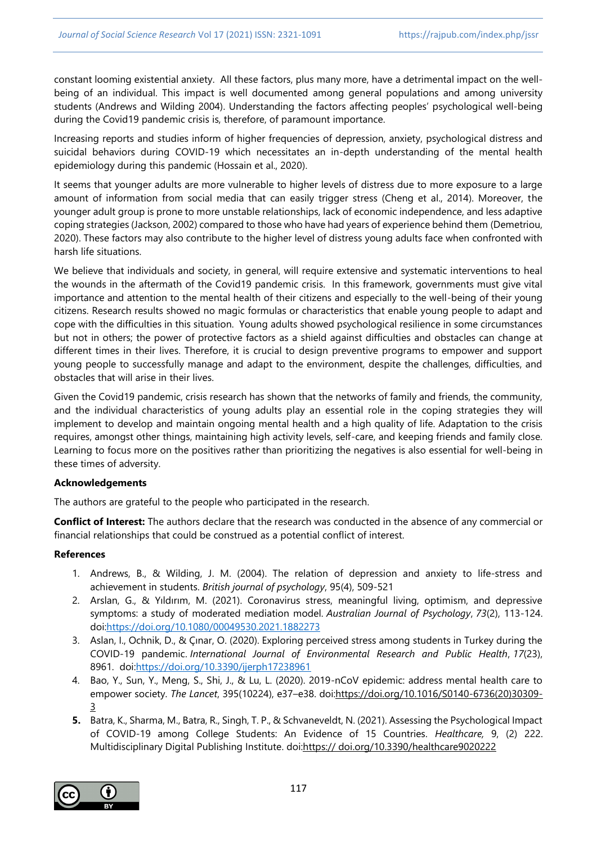constant looming existential anxiety. All these factors, plus many more, have a detrimental impact on the wellbeing of an individual. This impact is well documented among general populations and among university students (Andrews and Wilding 2004). Understanding the factors affecting peoples' psychological well-being during the Covid19 pandemic crisis is, therefore, of paramount importance.

Increasing reports and studies inform of higher frequencies of depression, anxiety, psychological distress and suicidal behaviors during COVID-19 which necessitates an in-depth understanding of the mental health epidemiology during this pandemic (Hossain et al., 2020).

It seems that younger adults are more vulnerable to higher levels of distress due to more exposure to a large amount of information from social media that can easily trigger stress (Cheng et al., 2014). Moreover, the younger adult group is prone to more unstable relationships, lack of economic independence, and less adaptive coping strategies (Jackson, 2002) compared to those who have had years of experience behind them (Demetriou, 2020). These factors may also contribute to the higher level of distress young adults face when confronted with harsh life situations.

We believe that individuals and society, in general, will require extensive and systematic interventions to heal the wounds in the aftermath of the Covid19 pandemic crisis. In this framework, governments must give vital importance and attention to the mental health of their citizens and especially to the well-being of their young citizens. Research results showed no magic formulas or characteristics that enable young people to adapt and cope with the difficulties in this situation. Young adults showed psychological resilience in some circumstances but not in others; the power of protective factors as a shield against difficulties and obstacles can change at different times in their lives. Therefore, it is crucial to design preventive programs to empower and support young people to successfully manage and adapt to the environment, despite the challenges, difficulties, and obstacles that will arise in their lives.

Given the Covid19 pandemic, crisis research has shown that the networks of family and friends, the community, and the individual characteristics of young adults play an essential role in the coping strategies they will implement to develop and maintain ongoing mental health and a high quality of life. Adaptation to the crisis requires, amongst other things, maintaining high activity levels, self-care, and keeping friends and family close. Learning to focus more on the positives rather than prioritizing the negatives is also essential for well-being in these times of adversity.

#### **Acknowledgements**

The authors are grateful to the people who participated in the research.

**Conflict of Interest:** The authors declare that the research was conducted in the absence of any commercial or financial relationships that could be construed as a potential conflict of interest.

#### **References**

- 1. Andrews, B., & Wilding, J. M. (2004). The relation of depression and anxiety to life‐stress and achievement in students. *British journal of psychology*, 95(4), 509-521
- 2. Arslan, G., & Yıldırım, M. (2021). Coronavirus stress, meaningful living, optimism, and depressive symptoms: a study of moderated mediation model. *Australian Journal of Psychology*, *73*(2), 113-124. do[i:https://doi.org/10.1080/00049530.2021.1882273](https://doi.org/10.1080/00049530.2021.1882273)
- 3. Aslan, I., Ochnik, D., & Çınar, O. (2020). Exploring perceived stress among students in Turkey during the COVID-19 pandemic. *International Journal of Environmental Research and Public Health*, *17*(23), 8961. do[i:https://doi.org/10.3390/ijerph17238961](https://doi.org/10.3390/ijerph17238961)
- 4. Bao, Y., Sun, Y., Meng, S., Shi, J., & Lu, L. (2020). 2019-nCoV epidemic: address mental health care to empower society. *The Lancet*, 395(10224), e37–e38. do[i:https://doi.org/10.1016/S0140-6736\(20\)30309-](https://doi.org/10.1016/S0140-6736(20)30309-3) [3](https://doi.org/10.1016/S0140-6736(20)30309-3)
- **5.** Batra, K., Sharma, M., Batra, R., Singh, T. P., & Schvaneveldt, N. (2021). Assessing the Psychological Impact of COVID-19 among College Students: An Evidence of 15 Countries. *Healthcare,* 9, (2) 222. Multidisciplinary Digital Publishing Institute. doi:https:// doi.org/10.3390/healthcare9020222

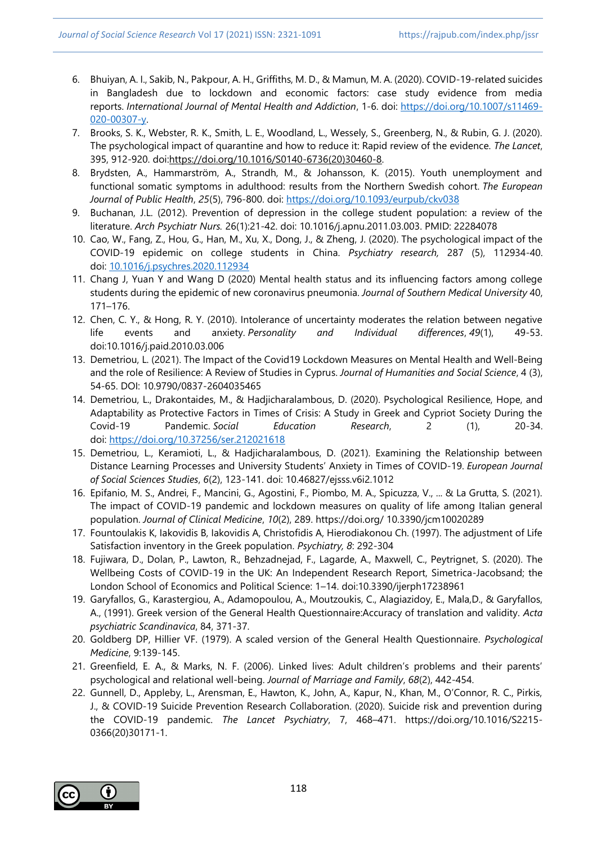- 6. Bhuiyan, A. I., Sakib, N., Pakpour, A. H., Griffiths, M. D., & Mamun, M. A. (2020). COVID-19-related suicides in Bangladesh due to lockdown and economic factors: case study evidence from media reports. *International Journal of Mental Health and Addiction*, 1-6. doi: [https://doi.org/10.1007/s11469-](https://doi.org/10.1007/s11469-020-00307-y) [020-00307-y.](https://doi.org/10.1007/s11469-020-00307-y)
- 7. Brooks, S. K., Webster, R. K., Smith, L. E., Woodland, L., Wessely, S., Greenberg, N., & Rubin, G. J. (2020). The psychological impact of quarantine and how to reduce it: Rapid review of the evidence. *The Lancet*, 395, 912-920. do[i:https://doi.org/10.1016/S0140-6736\(20\)30460-8.](https://doi.org/10.1016/S0140-6736(20)30460-8)
- 8. Brydsten, A., Hammarström, A., Strandh, M., & Johansson, K. (2015). Youth unemployment and functional somatic symptoms in adulthood: results from the Northern Swedish cohort. *The European Journal of Public Health*, *25*(5), 796-800. doi: <https://doi.org/10.1093/eurpub/ckv038>
- 9. Buchanan, J.L. (2012). Prevention of depression in the college student population: a review of the literature. *Arch Psychiatr Nurs.* 26(1):21-42. doi: 10.1016/j.apnu.2011.03.003. PMID: 22284078
- 10. Cao, W., Fang, Z., Hou, G., Han, M., Xu, X., Dong, J., & Zheng, J. (2020). The psychological impact of the COVID-19 epidemic on college students in China. *Psychiatry research,* 287 (5), 112934-40. doi: [10.1016/j.psychres.2020.112934](https://dx.doi.org/10.1016%2Fj.psychres.2020.112934)
- 11. Chang J, Yuan Y and Wang D (2020) Mental health status and its influencing factors among college students during the epidemic of new coronavirus pneumonia. *Journal of Southern Medical University* 40, 171–176.
- 12. Chen, C. Y., & Hong, R. Y. (2010). Intolerance of uncertainty moderates the relation between negative life events and anxiety. *Personality and Individual differences*, *49*(1), 49-53. doi:10.1016/j.paid.2010.03.006
- 13. Demetriou, L. (2021). The Impact of the Covid19 Lockdown Measures on Mental Health and Well-Being and the role of Resilience: A Review of Studies in Cyprus. *Journal of Humanities and Social Science*, 4 (3), 54-65. DOI: 10.9790/0837-2604035465
- 14. Demetriou, L., Drakontaides, M., & Hadjicharalambous, D. (2020). Psychological Resilience, Hope, and Adaptability as Protective Factors in Times of Crisis: A Study in Greek and Cypriot Society During the Covid-19 Pandemic. *Social Education Research*, 2 (1), 20-34. doi: <https://doi.org/10.37256/ser.212021618>
- 15. Demetriou, L., Keramioti, L., & Hadjicharalambous, D. (2021). Examining the Relationship between Distance Learning Processes and University Students' Anxiety in Times of COVID-19. *European Journal of Social Sciences Studies*, *6*(2), 123-141. doi: 10.46827/ejsss.v6i2.1012
- 16. Epifanio, M. S., Andrei, F., Mancini, G., Agostini, F., Piombo, M. A., Spicuzza, V., ... & La Grutta, S. (2021). The impact of COVID-19 pandemic and lockdown measures on quality of life among Italian general population. *Journal of Clinical Medicine*, *10*(2), 289. https://doi.org/ 10.3390/jcm10020289
- 17. Fountoulakis K, Iakovidis B, Iakovidis A, Christofidis A, Hierodiakonou Ch. (1997). The adjustment of Life Satisfaction inventory in the Greek population. *Psychiatry, 8*: 292-304
- 18. Fujiwara, D., Dolan, P., Lawton, R., Behzadnejad, F., Lagarde, A., Maxwell, C., Peytrignet, S. (2020). The Wellbeing Costs of COVID-19 in the UK: An Independent Research Report, Simetrica-Jacobsand; the London School of Economics and Political Science: 1–14. doi:10.3390/ijerph17238961
- 19. Garyfallos, G., Karastergiou, A., Adamopoulou, A., Moutzoukis, C., Alagiazidoy, E., Mala,D., & Garyfallos, A., (1991). Greek version of the General Health Questionnaire:Accuracy of translation and validity. *Acta psychiatric Scandinavica*, 84, 371-37.
- 20. Goldberg DP, Hillier VF. (1979). A scaled version of the General Health Questionnaire. *Psychological Medicine*, 9:139-145.
- 21. Greenfield, E. A., & Marks, N. F. (2006). Linked lives: Adult children's problems and their parents' psychological and relational well‐being. *Journal of Marriage and Family*, *68*(2), 442-454.
- 22. Gunnell, D., Appleby, L., Arensman, E., Hawton, K., John, A., Kapur, N., Khan, M., O'Connor, R. C., Pirkis, J., & COVID-19 Suicide Prevention Research Collaboration. (2020). Suicide risk and prevention during the COVID-19 pandemic. *The Lancet Psychiatry*, 7, 468–471. https://doi.org/10.1016/S2215- 0366(20)30171-1.

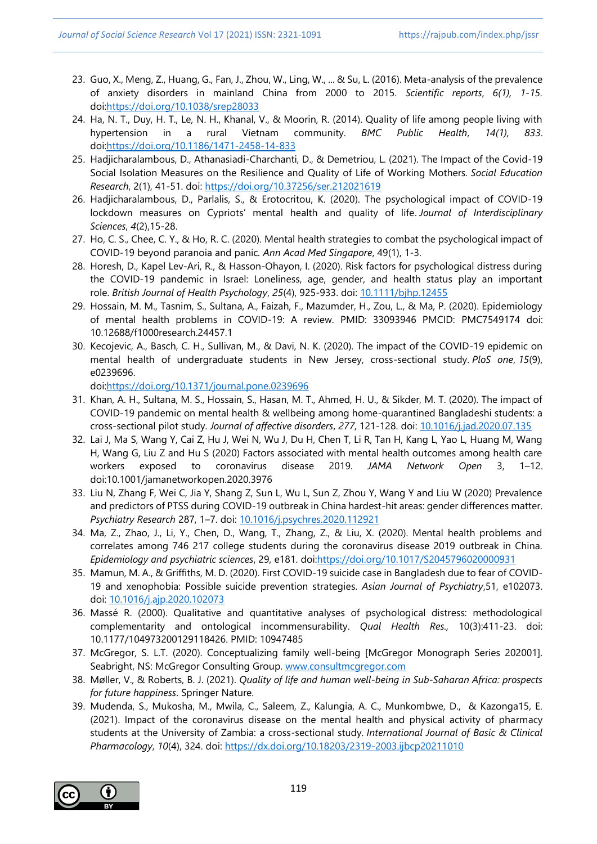- 23. Guo, X., Meng, Z., Huang, G., Fan, J., Zhou, W., Ling, W., ... & Su, L. (2016). Meta-analysis of the prevalence of anxiety disorders in mainland China from 2000 to 2015. *Scientific reports*, *6(1), 1-15.*  do[i:https://doi.org/10.1038/srep28033](https://doi.org/10.1038/srep28033)
- 24. Ha, N. T., Duy, H. T., Le, N. H., Khanal, V., & Moorin, R. (2014). Quality of life among people living with hypertension in a rural Vietnam community. *BMC Public Health*, *14(1), 833*. do[i:https://doi.org/10.1186/1471-2458-14-833](https://doi.org/10.1186/1471-2458-14-833)
- 25. Hadjicharalambous, D., Athanasiadi-Charchanti, D., & Demetriou, L. (2021). The Impact of the Covid-19 Social Isolation Measures on the Resilience and Quality of Life of Working Mothers. *Social Education Research*, 2(1), 41-51. doi: <https://doi.org/10.37256/ser.212021619>
- 26. Hadjicharalambous, D., Parlalis, S., & Erotocritou, K. (2020). The psychological impact of COVID-19 lockdown measures on Cypriots' mental health and quality of life. *Journal of Interdisciplinary Sciences*, *4*(2),15-28.
- 27. Ho, C. S., Chee, C. Y., & Ho, R. C. (2020). Mental health strategies to combat the psychological impact of COVID-19 beyond paranoia and panic*. Ann Acad Med Singapore*, 49(1), 1-3.
- 28. Horesh, D., Kapel Lev‐Ari, R., & Hasson‐Ohayon, I. (2020). Risk factors for psychological distress during the COVID‐19 pandemic in Israel: Loneliness, age, gender, and health status play an important role. *British Journal of Health Psychology*, *25*(4), 925-933. doi: [10.1111/bjhp.12455](https://dx.doi.org/10.1111%2Fbjhp.12455)
- 29. Hossain, M. M., Tasnim, S., Sultana, A., Faizah, F., Mazumder, H., Zou, L., & Ma, P. (2020). Epidemiology of mental health problems in COVID-19: A review. PMID: 33093946 PMCID: PMC7549174 doi: 10.12688/f1000research.24457.1
- 30. Kecojevic, A., Basch, C. H., Sullivan, M., & Davi, N. K. (2020). The impact of the COVID-19 epidemic on mental health of undergraduate students in New Jersey, cross-sectional study. *PloS one*, *15*(9), e0239696.

[doi:https://doi.org/10.1371/journal.pone.0239696](https://doi.org/10.1371/journal.pone.0239696)

- 31. Khan, A. H., Sultana, M. S., Hossain, S., Hasan, M. T., Ahmed, H. U., & Sikder, M. T. (2020). The impact of COVID-19 pandemic on mental health & wellbeing among home-quarantined Bangladeshi students: a cross-sectional pilot study. *Journal of affective disorders*, *277*, 121-128. doi: [10.1016/j.jad.2020.07.135](https://dx.doi.org/10.1016%2Fj.jad.2020.07.135)
- 32. Lai J, Ma S, Wang Y, Cai Z, Hu J, Wei N, Wu J, Du H, Chen T, Li R, Tan H, Kang L, Yao L, Huang M, Wang H, Wang G, Liu Z and Hu S (2020) Factors associated with mental health outcomes among health care workers exposed to coronavirus disease 2019. *JAMA Network Open* 3, 1–12. doi:10.1001/jamanetworkopen.2020.3976
- 33. Liu N, Zhang F, Wei C, Jia Y, Shang Z, Sun L, Wu L, Sun Z, Zhou Y, Wang Y and Liu W (2020) Prevalence and predictors of PTSS during COVID-19 outbreak in China hardest-hit areas: gender differences matter. *Psychiatry Research* 287, 1–7. doi: [10.1016/j.psychres.2020.112921](https://dx.doi.org/10.1016%2Fj.psychres.2020.112921)
- 34. Ma, Z., Zhao, J., Li, Y., Chen, D., Wang, T., Zhang, Z., & Liu, X. (2020). Mental health problems and correlates among 746 217 college students during the coronavirus disease 2019 outbreak in China. *Epidemiology and psychiatric sciences*, 29, e181. do[i:https://doi.org/10.1017/S2045796020000931](https://doi.org/10.1017/S2045796020000931)
- 35. Mamun, M. A., & Griffiths, M. D. (2020). First COVID-19 suicide case in Bangladesh due to fear of COVID-19 and xenophobia: Possible suicide prevention strategies. *Asian Journal of Psychiatry*,51, e102073. doi: [10.1016/j.ajp.2020.102073](https://dx.doi.org/10.1016%2Fj.ajp.2020.102073)
- 36. Massé R. (2000). Qualitative and quantitative analyses of psychological distress: methodological complementarity and ontological incommensurability. *Qual Health Res.,* 10(3):411-23. doi: 10.1177/104973200129118426. PMID: 10947485
- 37. McGregor, S. L.T. (2020). Conceptualizing family well-being [McGregor Monograph Series 202001]. Seabright, NS: McGregor Consulting Group. [www.consultmcgregor.com](http://www.consultmcgregor.com/)
- 38. Møller, V., & Roberts, B. J. (2021). *Quality of life and human well-being in Sub-Saharan Africa: prospects for future happiness*. Springer Nature.
- 39. Mudenda, S., Mukosha, M., Mwila, C., Saleem, Z., Kalungia, A. C., Munkombwe, D., & Kazonga15, E. (2021). Impact of the coronavirus disease on the mental health and physical activity of pharmacy students at the University of Zambia: a cross-sectional study. *International Journal of Basic & Clinical Pharmacology*, *10*(4), 324. doi: <https://dx.doi.org/10.18203/2319-2003.ijbcp20211010>

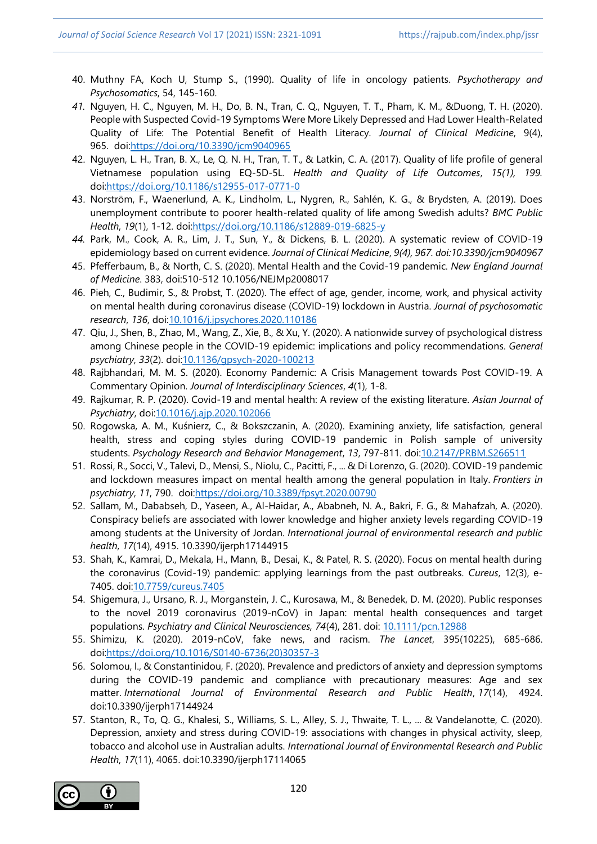- 40. Muthny FA, Koch U, Stump S., (1990). Quality of life in oncology patients. *Psychotherapy and Psychosomatics*, 54, 145-160.
- *41.* Nguyen, H. C., Nguyen, M. H., Do, B. N., Tran, C. Q., Nguyen, T. T., Pham, K. M., &Duong, T. H. (2020). People with Suspected Covid-19 Symptoms Were More Likely Depressed and Had Lower Health-Related Quality of Life: The Potential Benefit of Health Literacy. *Journal of Clinical Medicine*, 9(4), 965. do[i:https://doi.org/10.3390/jcm9040965](https://doi.org/10.3390/jcm9040965)
- 42. Nguyen, L. H., Tran, B. X., Le, Q. N. H., Tran, T. T., & Latkin, C. A. (2017). Quality of life profile of general Vietnamese population using EQ-5D-5L. *Health and Quality of Life Outcomes*, *15(1), 199.* do[i:https://doi.org/10.1186/s12955-017-0771-0](https://doi.org/10.1186/s12955-017-0771-0)
- 43. Norström, F., Waenerlund, A. K., Lindholm, L., Nygren, R., Sahlén, K. G., & Brydsten, A. (2019). Does unemployment contribute to poorer health-related quality of life among Swedish adults? *BMC Public Health*, *19*(1), 1-12. do[i:https://doi.org/10.1186/s12889-019-6825-y](https://doi.org/10.1186/s12889-019-6825-y)
- *44.* Park, M., Cook, A. R., Lim, J. T., Sun, Y., & Dickens, B. L. (2020). A systematic review of COVID-19 epidemiology based on current evidence. *Journal of Clinical Medicine*, *9(4), 967. doi:10.3390/jcm9040967*
- 45. Pfefferbaum, B., & North, C. S. (2020). Mental Health and the Covid-19 pandemic. *New England Journal of Medicine*. 383, doi:510-512 10.1056/NEJMp2008017
- 46. Pieh, C., Budimir, S., & Probst, T. (2020). The effect of age, gender, income, work, and physical activity on mental health during coronavirus disease (COVID-19) lockdown in Austria. *Journal of psychosomatic research*, *136*, do[i:10.1016/j.jpsychores.2020.110186](https://dx.doi.org/10.1016%2Fj.jpsychores.2020.110186)
- 47. Qiu, J., Shen, B., Zhao, M., Wang, Z., Xie, B., & Xu, Y. (2020). A nationwide survey of psychological distress among Chinese people in the COVID-19 epidemic: implications and policy recommendations. *General psychiatry*, *33*(2). doi[:10.1136/gpsych-2020-100213](https://dx.doi.org/10.1136%2Fgpsych-2020-100213)
- 48. Rajbhandari, M. M. S. (2020). Economy Pandemic: A Crisis Management towards Post COVID-19. A Commentary Opinion. *Journal of Interdisciplinary Sciences*, *4*(1), 1-8.
- 49. Rajkumar, R. P. (2020). Covid-19 and mental health: A review of the existing literature. *Asian Journal of Psychiatry*, do[i:10.1016/j.ajp.2020.102066](https://dx.doi.org/10.1016%2Fj.ajp.2020.102066)
- 50. Rogowska, A. M., Kuśnierz, C., & Bokszczanin, A. (2020). Examining anxiety, life satisfaction, general health, stress and coping styles during COVID-19 pandemic in Polish sample of university students. *Psychology Research and Behavior Management*, *13*, 797-811. do[i:10.2147/PRBM.S266511](https://dx.doi.org/10.2147%2FPRBM.S266511)
- 51. Rossi, R., Socci, V., Talevi, D., Mensi, S., Niolu, C., Pacitti, F., ... & Di Lorenzo, G. (2020). COVID-19 pandemic and lockdown measures impact on mental health among the general population in Italy. *Frontiers in psychiatry*, *11*, 790. do[i:https://doi.org/10.3389/fpsyt.2020.00790](https://doi.org/10.3389/fpsyt.2020.00790)
- 52. Sallam, M., Dababseh, D., Yaseen, A., Al-Haidar, A., Ababneh, N. A., Bakri, F. G., & Mahafzah, A. (2020). Conspiracy beliefs are associated with lower knowledge and higher anxiety levels regarding COVID-19 among students at the University of Jordan. *International journal of environmental research and public health*, *17*(14), 4915. 10.3390/ijerph17144915
- 53. Shah, K., Kamrai, D., Mekala, H., Mann, B., Desai, K., & Patel, R. S. (2020). Focus on mental health during the coronavirus (Covid-19) pandemic: applying learnings from the past outbreaks. *Cureus*, 12(3), e-7405. doi[:10.7759/cureus.7405](https://dx.doi.org/10.7759%2Fcureus.7405)
- 54. Shigemura, J., Ursano, R. J., Morganstein, J. C., Kurosawa, M., & Benedek, D. M. (2020). Public responses to the novel 2019 coronavirus (2019‐nCoV) in Japan: mental health consequences and target populations. *Psychiatry and Clinical Neurosciences, 74*(4), 281. doi: [10.1111/pcn.12988](https://dx.doi.org/10.1111%2Fpcn.12988)
- 55. Shimizu, K. (2020). 2019-nCoV, fake news, and racism. *The Lancet*, 395(10225), 685-686. do[i:https://doi.org/10.1016/S0140-6736\(20\)30357-3](https://doi.org/10.1016/S0140-6736(20)30357-3)
- 56. Solomou, I., & Constantinidou, F. (2020). Prevalence and predictors of anxiety and depression symptoms during the COVID-19 pandemic and compliance with precautionary measures: Age and sex matter. *International Journal of Environmental Research and Public Health*, *17*(14), 4924. doi:10.3390/ijerph17144924
- 57. Stanton, R., To, Q. G., Khalesi, S., Williams, S. L., Alley, S. J., Thwaite, T. L., ... & Vandelanotte, C. (2020). Depression, anxiety and stress during COVID-19: associations with changes in physical activity, sleep, tobacco and alcohol use in Australian adults. *International Journal of Environmental Research and Public Health*, *17*(11), 4065. doi:10.3390/ijerph17114065